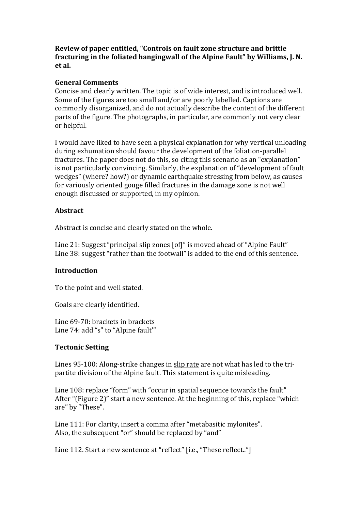**Review of paper entitled, "Controls on fault zone structure and brittle** fracturing in the foliated hangingwall of the Alpine Fault" by Williams, J. N. **et al.**

### **General Comments**

Concise and clearly written. The topic is of wide interest, and is introduced well. Some of the figures are too small and/or are poorly labelled. Captions are commonly disorganized, and do not actually describe the content of the different parts of the figure. The photographs, in particular, are commonly not very clear or helpful.

I would have liked to have seen a physical explanation for why vertical unloading during exhumation should favour the development of the foliation-parallel fractures. The paper does not do this, so citing this scenario as an "explanation" is not particularly convincing. Similarly, the explanation of "development of fault wedges" (where? how?) or dynamic earthquake stressing from below, as causes for variously oriented gouge filled fractures in the damage zone is not well enough discussed or supported, in my opinion.

### **Abstract**

Abstract is concise and clearly stated on the whole.

Line  $21:$  Suggest "principal slip zones  $[off]$ " is moved ahead of "Alpine Fault" Line 38: suggest "rather than the footwall" is added to the end of this sentence.

#### **Introduction**

To the point and well stated.

Goals are clearly identified.

Line 69-70: brackets in brackets Line 74: add "s" to "Alpine fault"

#### **Tectonic Setting**

Lines 95-100: Along-strike changes in slip rate are not what has led to the tripartite division of the Alpine fault. This statement is quite misleading.

Line 108: replace "form" with "occur in spatial sequence towards the fault" After "(Figure 2)" start a new sentence. At the beginning of this, replace "which are" by "These".

Line 111: For clarity, insert a comma after "metabasitic mylonites". Also, the subsequent "or" should be replaced by "and"

Line 112. Start a new sentence at "reflect" [i.e., "These reflect.."]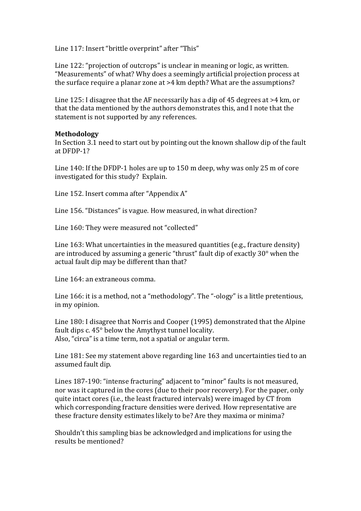Line 117: Insert "brittle overprint" after "This"

Line 122: "projection of outcrops" is unclear in meaning or logic, as written. "Measurements" of what? Why does a seemingly artificial projection process at the surface require a planar zone at  $>4$  km depth? What are the assumptions?

Line 125: I disagree that the AF necessarily has a dip of 45 degrees at  $>4$  km, or that the data mentioned by the authors demonstrates this, and I note that the statement is not supported by any references.

#### **Methodology**

In Section 3.1 need to start out by pointing out the known shallow dip of the fault at DFDP-1?

Line  $140$ : If the DFDP-1 holes are up to  $150$  m deep, why was only  $25$  m of core investigated for this study? Explain.

Line 152. Insert comma after "Appendix A"

Line 156. "Distances" is vague. How measured, in what direction?

Line 160: They were measured not "collected"

Line  $163$ : What uncertainties in the measured quantities (e.g., fracture density) are introduced by assuming a generic "thrust" fault dip of exactly  $30^{\circ}$  when the actual fault dip may be different than that?

Line 164: an extraneous comma.

Line  $166$ : it is a method, not a "methodology". The "-ology" is a little pretentious, in my opinion.

Line 180: I disagree that Norris and Cooper (1995) demonstrated that the Alpine fault dips  $c. 45^\circ$  below the Amythyst tunnel locality. Also, "circa" is a time term, not a spatial or angular term.

Line 181: See my statement above regarding line 163 and uncertainties tied to an assumed fault dip.

Lines 187-190: "intense fracturing" adjacent to "minor" faults is not measured, nor was it captured in the cores (due to their poor recovery). For the paper, only quite intact cores (i.e., the least fractured intervals) were imaged by CT from which corresponding fracture densities were derived. How representative are these fracture density estimates likely to be? Are they maxima or minima?

Shouldn't this sampling bias be acknowledged and implications for using the results be mentioned?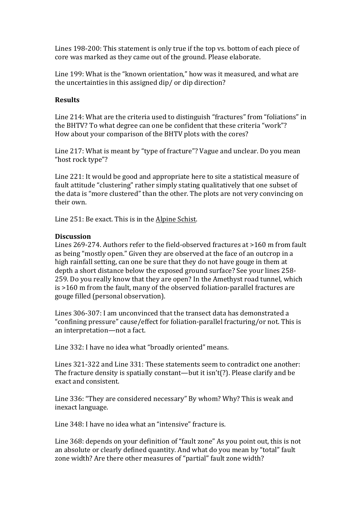Lines 198-200: This statement is only true if the top vs. bottom of each piece of core was marked as they came out of the ground. Please elaborate.

Line 199: What is the "known orientation," how was it measured, and what are the uncertainties in this assigned  $\text{dip}/\text{or } \text{dip}$  direction?

# **Results**

Line 214: What are the criteria used to distinguish "fractures" from "foliations" in the BHTV? To what degree can one be confident that these criteria "work"? How about your comparison of the BHTV plots with the cores?

Line 217: What is meant by "type of fracture"? Vague and unclear. Do you mean "host rock type"?

Line 221: It would be good and appropriate here to site a statistical measure of fault attitude "clustering" rather simply stating qualitatively that one subset of the data is "more clustered" than the other. The plots are not very convincing on their own.

Line 251: Be exact. This is in the Alpine Schist.

## **Discussion**

Lines  $269-274$ . Authors refer to the field-observed fractures at  $>160$  m from fault as being "mostly open." Given they are observed at the face of an outcrop in a high rainfall setting, can one be sure that they do not have gouge in them at depth a short distance below the exposed ground surface? See vour lines 258-259. Do you really know that they are open? In the Amethyst road tunnel, which  $is > 160$  m from the fault, many of the observed foliation-parallel fractures are gouge filled (personal observation).

Lines 306-307: I am unconvinced that the transect data has demonstrated a "confining pressure" cause/effect for foliation-parallel fracturing/or not. This is an interpretation—not a fact.

Line 332: I have no idea what "broadly oriented" means.

Lines 321-322 and Line 331: These statements seem to contradict one another: The fracture density is spatially constant—but it  $\text{isn't(?)}$ . Please clarify and be exact and consistent.

Line 336: "They are considered necessary" By whom? Why? This is weak and inexact language.

Line 348: I have no idea what an "intensive" fracture is.

Line 368: depends on your definition of "fault zone" As you point out, this is not an absolute or clearly defined quantity. And what do you mean by "total" fault zone width? Are there other measures of "partial" fault zone width?